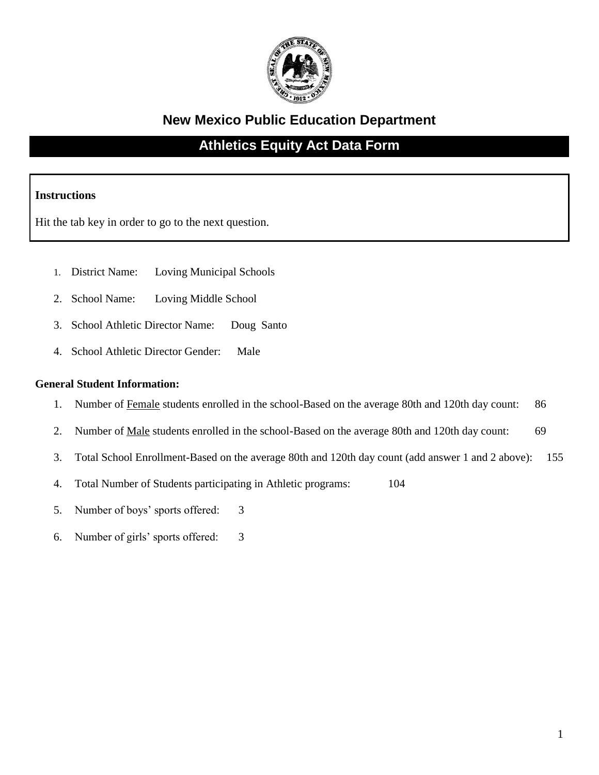

## **New Mexico Public Education Department**

## **Athletics Equity Act Data Form**

### **Instructions**

Hit the tab key in order to go to the next question.

- 1. District Name: Loving Municipal Schools
- 2. School Name: Loving Middle School
- 3. School Athletic Director Name: Doug Santo
- 4. School Athletic Director Gender: Male

#### **General Student Information:**

- 1. Number of Female students enrolled in the school-Based on the average 80th and 120th day count: 86
- 2. Number of <u>Male</u> students enrolled in the school-Based on the average 80th and 120th day count: 69
- 3. Total School Enrollment-Based on the average 80th and 120th day count (add answer 1 and 2 above): 155
- 4. Total Number of Students participating in Athletic programs: 104
- 5. Number of boys' sports offered: 3
- 6. Number of girls' sports offered: 3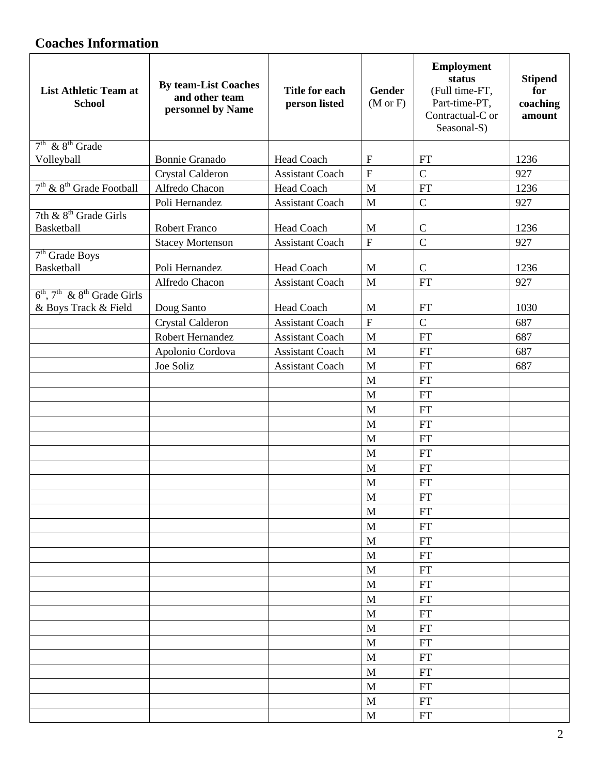# **Coaches Information**

| <b>List Athletic Team at</b><br><b>School</b> | <b>By team-List Coaches</b><br>and other team<br>personnel by Name | <b>Title for each</b><br>person listed | Gender<br>$(M \text{ or } F)$ | <b>Employment</b><br>status<br>(Full time-FT,<br>Part-time-PT,<br>Contractual-C or<br>Seasonal-S) | <b>Stipend</b><br>for<br>coaching<br>amount |
|-----------------------------------------------|--------------------------------------------------------------------|----------------------------------------|-------------------------------|---------------------------------------------------------------------------------------------------|---------------------------------------------|
| $7th$ & $8th$ Grade                           |                                                                    |                                        |                               |                                                                                                   |                                             |
| Volleyball                                    | <b>Bonnie Granado</b>                                              | Head Coach                             | $\mathbf{F}$                  | <b>FT</b>                                                                                         | 1236                                        |
|                                               | Crystal Calderon                                                   | <b>Assistant Coach</b>                 | $\overline{F}$                | $\overline{C}$                                                                                    | 927                                         |
| $7th$ & $8th$ Grade Football                  | Alfredo Chacon                                                     | Head Coach                             | M                             | <b>FT</b>                                                                                         | 1236                                        |
|                                               | Poli Hernandez                                                     | <b>Assistant Coach</b>                 | $\mathbf{M}$                  | $\mathsf{C}$                                                                                      | 927                                         |
| 7th $\&$ 8 <sup>th</sup> Grade Girls          |                                                                    |                                        |                               |                                                                                                   |                                             |
| <b>Basketball</b>                             | <b>Robert Franco</b>                                               | Head Coach                             | M                             | $\mathbf C$                                                                                       | 1236                                        |
|                                               | <b>Stacey Mortenson</b>                                            | <b>Assistant Coach</b>                 | $\overline{F}$                | $\overline{C}$                                                                                    | 927                                         |
| $7th$ Grade Boys                              |                                                                    |                                        |                               |                                                                                                   | 1236                                        |
| <b>Basketball</b>                             | Poli Hernandez                                                     | Head Coach                             | M                             | $\mathcal{C}$                                                                                     |                                             |
| $6th$ , $7th$ & $8th$ Grade Girls             | Alfredo Chacon                                                     | <b>Assistant Coach</b>                 | M                             | <b>FT</b>                                                                                         | 927                                         |
| & Boys Track & Field                          | Doug Santo                                                         | <b>Head Coach</b>                      | M                             | <b>FT</b>                                                                                         | 1030                                        |
|                                               | Crystal Calderon                                                   | <b>Assistant Coach</b>                 | $\overline{F}$                | $\overline{C}$                                                                                    | 687                                         |
|                                               | Robert Hernandez                                                   | <b>Assistant Coach</b>                 | $\mathbf{M}$                  | <b>FT</b>                                                                                         | 687                                         |
|                                               |                                                                    |                                        | $\mathbf{M}$                  |                                                                                                   |                                             |
|                                               | Apolonio Cordova                                                   | <b>Assistant Coach</b>                 |                               | <b>FT</b>                                                                                         | 687                                         |
|                                               | Joe Soliz                                                          | <b>Assistant Coach</b>                 | M                             | <b>FT</b>                                                                                         | 687                                         |
|                                               |                                                                    |                                        | $\mathbf{M}$                  | <b>FT</b>                                                                                         |                                             |
|                                               |                                                                    |                                        | M                             | <b>FT</b>                                                                                         |                                             |
|                                               |                                                                    |                                        | M                             | <b>FT</b>                                                                                         |                                             |
|                                               |                                                                    |                                        | M                             | <b>FT</b>                                                                                         |                                             |
|                                               |                                                                    |                                        | $\mathbf{M}$                  | <b>FT</b>                                                                                         |                                             |
|                                               |                                                                    |                                        | M                             | <b>FT</b>                                                                                         |                                             |
|                                               |                                                                    |                                        | M                             | <b>FT</b>                                                                                         |                                             |
|                                               |                                                                    |                                        | M                             | <b>FT</b>                                                                                         |                                             |
|                                               |                                                                    |                                        | M                             | <b>FT</b>                                                                                         |                                             |
|                                               |                                                                    |                                        | M                             | <b>FT</b>                                                                                         |                                             |
|                                               |                                                                    |                                        | M                             | FT                                                                                                |                                             |
|                                               |                                                                    |                                        | M                             | $\mathop{\rm FT}\nolimits$                                                                        |                                             |
|                                               |                                                                    |                                        | M                             | $\mathop{\rm FT}\nolimits$                                                                        |                                             |
|                                               |                                                                    |                                        | M                             | <b>FT</b>                                                                                         |                                             |
|                                               |                                                                    |                                        | M                             | $\mathop{\rm FT}\nolimits$                                                                        |                                             |
|                                               |                                                                    |                                        | M                             | <b>FT</b>                                                                                         |                                             |
|                                               |                                                                    |                                        | M                             | ${\rm FT}$                                                                                        |                                             |
|                                               |                                                                    |                                        | M                             | <b>FT</b>                                                                                         |                                             |
|                                               |                                                                    |                                        | M                             | $\mathop{\rm FT}\nolimits$                                                                        |                                             |
|                                               |                                                                    |                                        | M                             | <b>FT</b>                                                                                         |                                             |
|                                               |                                                                    |                                        | M                             | <b>FT</b>                                                                                         |                                             |
|                                               |                                                                    |                                        | M                             | <b>FT</b>                                                                                         |                                             |
|                                               |                                                                    |                                        | M                             | $\mathop{\rm FT}\nolimits$                                                                        |                                             |
|                                               |                                                                    |                                        | M                             | $\mathop{\rm FT}\nolimits$                                                                        |                                             |
|                                               |                                                                    |                                        |                               |                                                                                                   |                                             |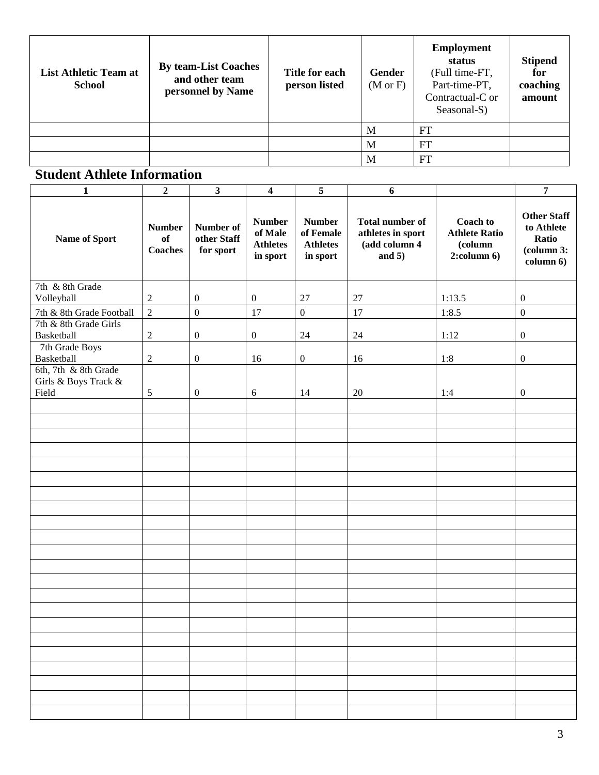| <b>List Athletic Team at</b><br><b>School</b> | <b>By team-List Coaches</b><br>and other team<br>personnel by Name | Title for each<br>person listed | <b>Gender</b><br>$(M \text{ or } F)$ | <b>Employment</b><br>status<br>(Full time-FT,<br>Part-time-PT,<br>Contractual-C or<br>Seasonal-S) | <b>Stipend</b><br>for<br>coaching<br>amount |
|-----------------------------------------------|--------------------------------------------------------------------|---------------------------------|--------------------------------------|---------------------------------------------------------------------------------------------------|---------------------------------------------|
|                                               |                                                                    |                                 | M                                    | FT                                                                                                |                                             |
|                                               |                                                                    |                                 | M                                    | <b>FT</b>                                                                                         |                                             |
|                                               |                                                                    |                                 | M                                    | FT                                                                                                |                                             |

## **Student Athlete Information**

| $\mathbf{1}$                                          | $\overline{2}$                        | $\overline{\mathbf{3}}$               | $\overline{4}$                                          | $\overline{5}$                                            | 6                                                                        |                                                                         | $\overline{7}$                                                                |
|-------------------------------------------------------|---------------------------------------|---------------------------------------|---------------------------------------------------------|-----------------------------------------------------------|--------------------------------------------------------------------------|-------------------------------------------------------------------------|-------------------------------------------------------------------------------|
| Name of Sport                                         | <b>Number</b><br>of<br><b>Coaches</b> | Number of<br>other Staff<br>for sport | <b>Number</b><br>of Male<br><b>Athletes</b><br>in sport | <b>Number</b><br>of Female<br><b>Athletes</b><br>in sport | <b>Total number of</b><br>athletes in sport<br>(add column 4<br>and $5)$ | <b>Coach to</b><br><b>Athlete Ratio</b><br>(column<br>$2$ :column $6$ ) | <b>Other Staff</b><br>to Athlete<br>Ratio<br>$\alpha$ lcolumn 3:<br>column 6) |
| 7th & 8th Grade<br>Volleyball                         | $\sqrt{2}$                            | $\boldsymbol{0}$                      | $\boldsymbol{0}$                                        | 27                                                        | 27                                                                       | 1:13.5                                                                  | $\boldsymbol{0}$                                                              |
| 7th & 8th Grade Football                              | $\sqrt{2}$                            | $\boldsymbol{0}$                      | 17                                                      | $\boldsymbol{0}$                                          | 17                                                                       | 1:8.5                                                                   | $\boldsymbol{0}$                                                              |
| 7th & 8th Grade Girls<br>Basketball                   | $\sqrt{2}$                            | $\boldsymbol{0}$                      | $\boldsymbol{0}$                                        | 24                                                        | 24                                                                       | 1:12                                                                    | $\boldsymbol{0}$                                                              |
| 7th Grade Boys<br>Basketball                          | $\boldsymbol{2}$                      | $\boldsymbol{0}$                      | 16                                                      | $\boldsymbol{0}$                                          | 16                                                                       | 1:8                                                                     | $\boldsymbol{0}$                                                              |
| 6th, 7th & 8th Grade<br>Girls & Boys Track &<br>Field | 5                                     | $\boldsymbol{0}$                      | 6                                                       | 14                                                        | 20                                                                       | 1:4                                                                     | $\boldsymbol{0}$                                                              |
|                                                       |                                       |                                       |                                                         |                                                           |                                                                          |                                                                         |                                                                               |
|                                                       |                                       |                                       |                                                         |                                                           |                                                                          |                                                                         |                                                                               |
|                                                       |                                       |                                       |                                                         |                                                           |                                                                          |                                                                         |                                                                               |
|                                                       |                                       |                                       |                                                         |                                                           |                                                                          |                                                                         |                                                                               |
|                                                       |                                       |                                       |                                                         |                                                           |                                                                          |                                                                         |                                                                               |
|                                                       |                                       |                                       |                                                         |                                                           |                                                                          |                                                                         |                                                                               |
|                                                       |                                       |                                       |                                                         |                                                           |                                                                          |                                                                         |                                                                               |
|                                                       |                                       |                                       |                                                         |                                                           |                                                                          |                                                                         |                                                                               |
|                                                       |                                       |                                       |                                                         |                                                           |                                                                          |                                                                         |                                                                               |
|                                                       |                                       |                                       |                                                         |                                                           |                                                                          |                                                                         |                                                                               |
|                                                       |                                       |                                       |                                                         |                                                           |                                                                          |                                                                         |                                                                               |
|                                                       |                                       |                                       |                                                         |                                                           |                                                                          |                                                                         |                                                                               |
|                                                       |                                       |                                       |                                                         |                                                           |                                                                          |                                                                         |                                                                               |
|                                                       |                                       |                                       |                                                         |                                                           |                                                                          |                                                                         |                                                                               |
|                                                       |                                       |                                       |                                                         |                                                           |                                                                          |                                                                         |                                                                               |
|                                                       |                                       |                                       |                                                         |                                                           |                                                                          |                                                                         |                                                                               |
|                                                       |                                       |                                       |                                                         |                                                           |                                                                          |                                                                         |                                                                               |
|                                                       |                                       |                                       |                                                         |                                                           |                                                                          |                                                                         |                                                                               |
|                                                       |                                       |                                       |                                                         |                                                           |                                                                          |                                                                         |                                                                               |
|                                                       |                                       |                                       |                                                         |                                                           |                                                                          |                                                                         |                                                                               |
|                                                       |                                       |                                       |                                                         |                                                           |                                                                          |                                                                         |                                                                               |